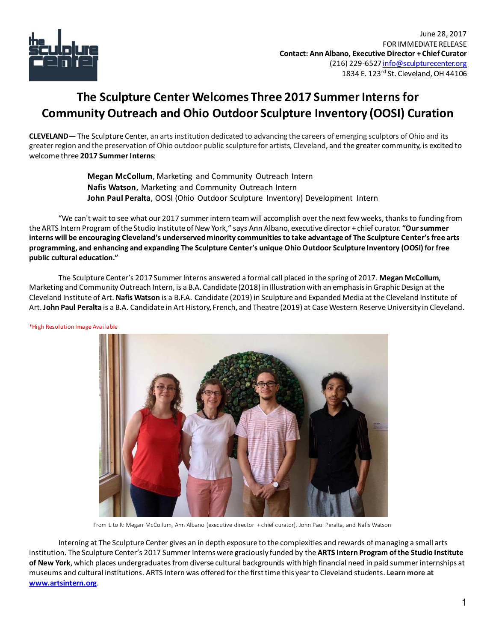

## **The Sculpture Center Welcomes Three 2017 Summer Interns for Community Outreach and Ohio Outdoor Sculpture Inventory (OOSI) Curation**

**CLEVELAND—** The Sculpture Center, an arts institution dedicated to advancing the careers of emerging sculptors of Ohio and its greater region and the preservation of Ohio outdoor public sculpture for artists, Cleveland, and the greater community, is excited to welcome three **2017 Summer Interns**:

> **Megan McCollum**, Marketing and Community Outreach Intern **Nafis Watson**, Marketing and Community Outreach Intern **John Paul Peralta**, OOSI (Ohio Outdoor Sculpture Inventory) Development Intern

"We can't wait to see what our 2017 summer intern team will accomplish over the next few weeks, thanks to funding from the ARTS Intern Program of the Studio Institute of New York," says Ann Albano, executive director + chief curator. **"Our summer interns will be encouraging Cleveland's underserved minority communities to take advantage of The Sculpture Center's free arts programming, and enhancing and expanding The Sculpture Center's unique Ohio Outdoor Sculpture Inventory (OOSI) for free public cultural education."**

The Sculpture Center's 2017 Summer Interns answered a formal call placed in the spring of 2017. **Megan McCollum**, Marketing and Community Outreach Intern, is a B.A. Candidate (2018) in Illustration with an emphasis in Graphic Design at the Cleveland Institute of Art. **Nafis Watson** is a B.F.A. Candidate (2019) in Sculpture and Expanded Media at the Cleveland Institute of Art. **John Paul Peralta** is a B.A. Candidate in Art History, French, and Theatre (2019) at Case Western Reserve University in Cleveland.

\*High Resolution Image Available



From L to R: Megan McCollum, Ann Albano (executive director + chief curator), John Paul Peralta, and Nafis Watson

Interning at The Sculpture Center gives an in depth exposure to the complexities and rewards of managing a small arts institution. The Sculpture Center's 2017 Summer Interns were graciously funded by the **ARTS Intern Program of the Studio Institute of New York**, which places undergraduates from diverse cultural backgrounds with high financial need in paid summer internships at museums and cultural institutions. ARTS Intern was offered for the first time this year to Cleveland students. **Learn more at [www.artsintern.org](file:///C:/Users/Ann/AppData/Local/Temp/www.artsintern.org)**.